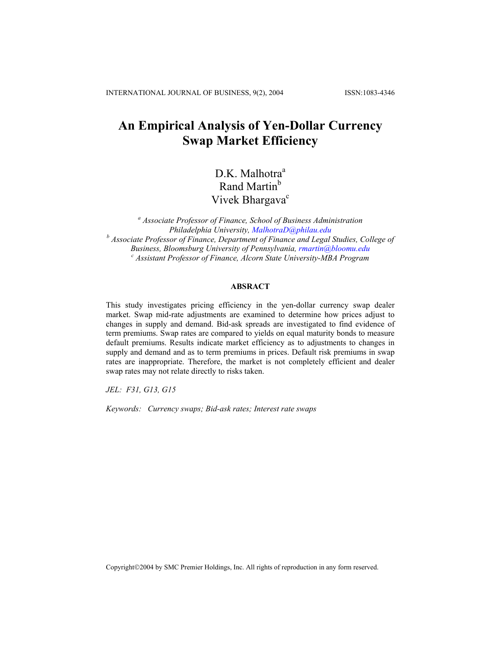# **An Empirical Analysis of Yen-Dollar Currency Swap Market Efficiency**

# D.K. Malhotra<sup>a</sup> Rand Martin<sup>b</sup> Vivek Bhargava<sup>c</sup>

*a Associate Professor of Finance, School of Business Administration Philadelphia University, [MalhotraD@philau.edu](mailto:MalhotraD@philau.edu) b Associate Professor of Finance, Department of Finance and Legal Studies, College of Business, Bloomsburg University of Pennsylvania, [rmartin@bloomu.edu](mailto:rmartin@bloomu.edu) <sup>c</sup> Assistant Professor of Finance, Alcorn State University-MBA Program* 

## **ABSRACT**

This study investigates pricing efficiency in the yen-dollar currency swap dealer market. Swap mid-rate adjustments are examined to determine how prices adjust to changes in supply and demand. Bid-ask spreads are investigated to find evidence of term premiums. Swap rates are compared to yields on equal maturity bonds to measure default premiums. Results indicate market efficiency as to adjustments to changes in supply and demand and as to term premiums in prices. Default risk premiums in swap rates are inappropriate. Therefore, the market is not completely efficient and dealer swap rates may not relate directly to risks taken.

*JEL: F31, G13, G15* 

*Keywords: Currency swaps; Bid-ask rates; Interest rate swaps* 

Copyright©2004 by SMC Premier Holdings, Inc. All rights of reproduction in any form reserved.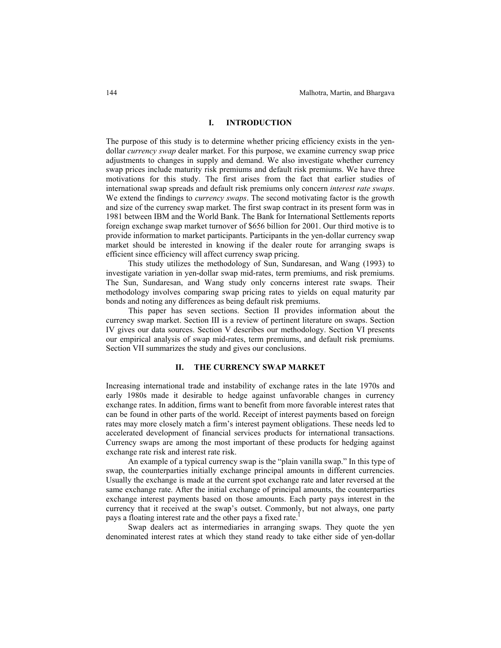## **I. INTRODUCTION**

The purpose of this study is to determine whether pricing efficiency exists in the yendollar *currency swap* dealer market. For this purpose, we examine currency swap price adjustments to changes in supply and demand. We also investigate whether currency swap prices include maturity risk premiums and default risk premiums. We have three motivations for this study. The first arises from the fact that earlier studies of international swap spreads and default risk premiums only concern *interest rate swaps*. We extend the findings to *currency swaps*. The second motivating factor is the growth and size of the currency swap market. The first swap contract in its present form was in 1981 between IBM and the World Bank. The Bank for International Settlements reports foreign exchange swap market turnover of \$656 billion for 2001. Our third motive is to provide information to market participants. Participants in the yen-dollar currency swap market should be interested in knowing if the dealer route for arranging swaps is efficient since efficiency will affect currency swap pricing.

This study utilizes the methodology of Sun, Sundaresan, and Wang (1993) to investigate variation in yen-dollar swap mid-rates, term premiums, and risk premiums. The Sun, Sundaresan, and Wang study only concerns interest rate swaps. Their methodology involves comparing swap pricing rates to yields on equal maturity par bonds and noting any differences as being default risk premiums.

This paper has seven sections. Section II provides information about the currency swap market. Section III is a review of pertinent literature on swaps. Section IV gives our data sources. Section V describes our methodology. Section VI presents our empirical analysis of swap mid-rates, term premiums, and default risk premiums. Section VII summarizes the study and gives our conclusions.

## **II. THE CURRENCY SWAP MARKET**

Increasing international trade and instability of exchange rates in the late 1970s and early 1980s made it desirable to hedge against unfavorable changes in currency exchange rates. In addition, firms want to benefit from more favorable interest rates that can be found in other parts of the world. Receipt of interest payments based on foreign rates may more closely match a firm's interest payment obligations. These needs led to accelerated development of financial services products for international transactions. Currency swaps are among the most important of these products for hedging against exchange rate risk and interest rate risk.

An example of a typical currency swap is the "plain vanilla swap." In this type of swap, the counterparties initially exchange principal amounts in different currencies. Usually the exchange is made at the current spot exchange rate and later reversed at the same exchange rate. After the initial exchange of principal amounts, the counterparties exchange interest payments based on those amounts. Each party pays interest in the currency that it received at the swap's outset. Commonly, but not always, one party pays a floating interest rate and the other pays a fixed rate.<sup>1</sup>

Swap dealers act as intermediaries in arranging swaps. They quote the yen denominated interest rates at which they stand ready to take either side of yen-dollar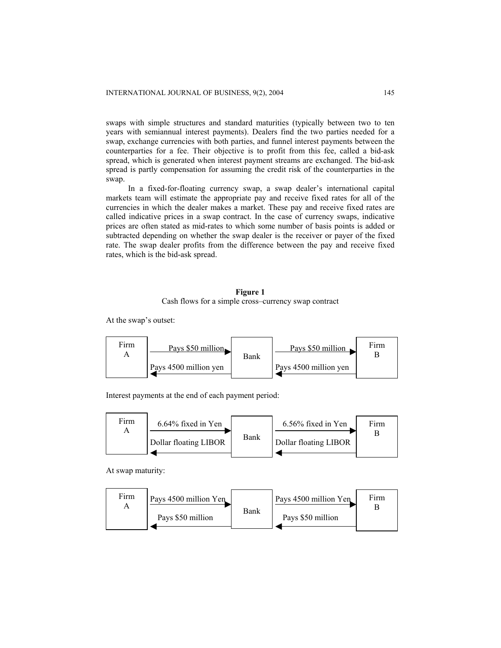swaps with simple structures and standard maturities (typically between two to ten years with semiannual interest payments). Dealers find the two parties needed for a swap, exchange currencies with both parties, and funnel interest payments between the counterparties for a fee. Their objective is to profit from this fee, called a bid-ask spread, which is generated when interest payment streams are exchanged. The bid-ask spread is partly compensation for assuming the credit risk of the counterparties in the swap.

In a fixed-for-floating currency swap, a swap dealer's international capital markets team will estimate the appropriate pay and receive fixed rates for all of the currencies in which the dealer makes a market. These pay and receive fixed rates are called indicative prices in a swap contract. In the case of currency swaps, indicative prices are often stated as mid-rates to which some number of basis points is added or subtracted depending on whether the swap dealer is the receiver or payer of the fixed rate. The swap dealer profits from the difference between the pay and receive fixed rates, which is the bid-ask spread.

# **Figure 1**  Cash flows for a simple cross–currency swap contract

At the swap's outset:



Interest payments at the end of each payment period:



At swap maturity:

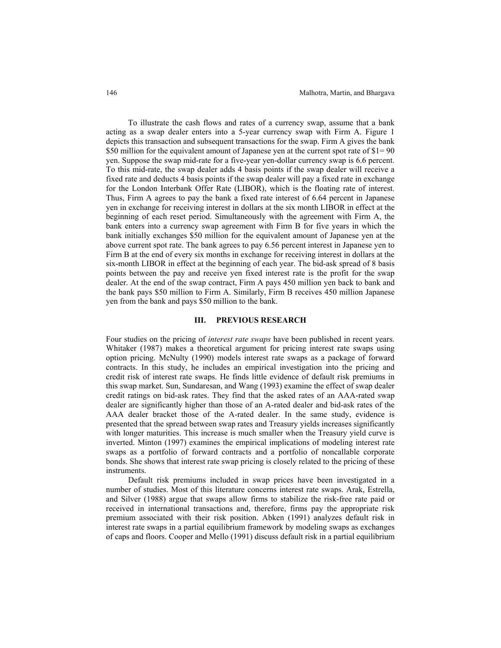To illustrate the cash flows and rates of a currency swap, assume that a bank acting as a swap dealer enters into a 5-year currency swap with Firm A. Figure 1 depicts this transaction and subsequent transactions for the swap. Firm A gives the bank \$50 million for the equivalent amount of Japanese yen at the current spot rate of \$1=90 yen. Suppose the swap mid-rate for a five-year yen-dollar currency swap is 6.6 percent. To this mid-rate, the swap dealer adds 4 basis points if the swap dealer will receive a fixed rate and deducts 4 basis points if the swap dealer will pay a fixed rate in exchange for the London Interbank Offer Rate (LIBOR), which is the floating rate of interest. Thus, Firm A agrees to pay the bank a fixed rate interest of 6.64 percent in Japanese yen in exchange for receiving interest in dollars at the six month LIBOR in effect at the beginning of each reset period. Simultaneously with the agreement with Firm A, the bank enters into a currency swap agreement with Firm B for five years in which the bank initially exchanges \$50 million for the equivalent amount of Japanese yen at the above current spot rate. The bank agrees to pay 6.56 percent interest in Japanese yen to Firm B at the end of every six months in exchange for receiving interest in dollars at the six-month LIBOR in effect at the beginning of each year. The bid-ask spread of 8 basis points between the pay and receive yen fixed interest rate is the profit for the swap dealer. At the end of the swap contract, Firm A pays 450 million yen back to bank and the bank pays \$50 million to Firm A. Similarly, Firm B receives 450 million Japanese yen from the bank and pays \$50 million to the bank.

## **III. PREVIOUS RESEARCH**

Four studies on the pricing of *interest rate swaps* have been published in recent years. Whitaker (1987) makes a theoretical argument for pricing interest rate swaps using option pricing. McNulty (1990) models interest rate swaps as a package of forward contracts. In this study, he includes an empirical investigation into the pricing and credit risk of interest rate swaps. He finds little evidence of default risk premiums in this swap market. Sun, Sundaresan, and Wang (1993) examine the effect of swap dealer credit ratings on bid-ask rates. They find that the asked rates of an AAA-rated swap dealer are significantly higher than those of an A-rated dealer and bid-ask rates of the AAA dealer bracket those of the A-rated dealer. In the same study, evidence is presented that the spread between swap rates and Treasury yields increases significantly with longer maturities. This increase is much smaller when the Treasury yield curve is inverted. Minton (1997) examines the empirical implications of modeling interest rate swaps as a portfolio of forward contracts and a portfolio of noncallable corporate bonds. She shows that interest rate swap pricing is closely related to the pricing of these instruments.

Default risk premiums included in swap prices have been investigated in a number of studies. Most of this literature concerns interest rate swaps. Arak, Estrella, and Silver (1988) argue that swaps allow firms to stabilize the risk-free rate paid or received in international transactions and, therefore, firms pay the appropriate risk premium associated with their risk position. Abken (1991) analyzes default risk in interest rate swaps in a partial equilibrium framework by modeling swaps as exchanges of caps and floors. Cooper and Mello (1991) discuss default risk in a partial equilibrium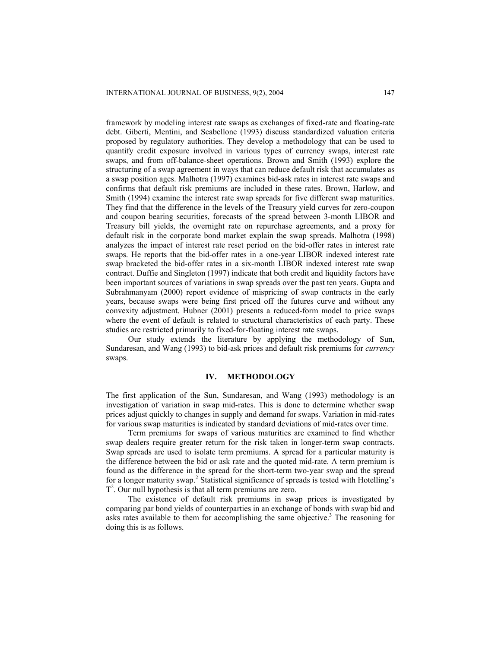framework by modeling interest rate swaps as exchanges of fixed-rate and floating-rate debt. Giberti, Mentini, and Scabellone (1993) discuss standardized valuation criteria proposed by regulatory authorities. They develop a methodology that can be used to quantify credit exposure involved in various types of currency swaps, interest rate swaps, and from off-balance-sheet operations. Brown and Smith (1993) explore the structuring of a swap agreement in ways that can reduce default risk that accumulates as a swap position ages. Malhotra (1997) examines bid-ask rates in interest rate swaps and confirms that default risk premiums are included in these rates. Brown, Harlow, and Smith (1994) examine the interest rate swap spreads for five different swap maturities. They find that the difference in the levels of the Treasury yield curves for zero-coupon and coupon bearing securities, forecasts of the spread between 3-month LIBOR and Treasury bill yields, the overnight rate on repurchase agreements, and a proxy for default risk in the corporate bond market explain the swap spreads. Malhotra (1998) analyzes the impact of interest rate reset period on the bid-offer rates in interest rate swaps. He reports that the bid-offer rates in a one-year LIBOR indexed interest rate swap bracketed the bid-offer rates in a six-month LIBOR indexed interest rate swap contract. Duffie and Singleton (1997) indicate that both credit and liquidity factors have been important sources of variations in swap spreads over the past ten years. Gupta and Subrahmanyam (2000) report evidence of mispricing of swap contracts in the early years, because swaps were being first priced off the futures curve and without any convexity adjustment. Hubner (2001) presents a reduced-form model to price swaps where the event of default is related to structural characteristics of each party. These studies are restricted primarily to fixed-for-floating interest rate swaps.

Our study extends the literature by applying the methodology of Sun, Sundaresan, and Wang (1993) to bid-ask prices and default risk premiums for *currency* swaps.

### **IV. METHODOLOGY**

The first application of the Sun, Sundaresan, and Wang (1993) methodology is an investigation of variation in swap mid-rates. This is done to determine whether swap prices adjust quickly to changes in supply and demand for swaps. Variation in mid-rates for various swap maturities is indicated by standard deviations of mid-rates over time.

Term premiums for swaps of various maturities are examined to find whether swap dealers require greater return for the risk taken in longer-term swap contracts. Swap spreads are used to isolate term premiums. A spread for a particular maturity is the difference between the bid or ask rate and the quoted mid-rate. A term premium is found as the difference in the spread for the short-term two-year swap and the spread for a longer maturity swap.<sup>2</sup> Statistical significance of spreads is tested with Hotelling's T<sup>2</sup>. Our null hypothesis is that all term premiums are zero.

The existence of default risk premiums in swap prices is investigated by comparing par bond yields of counterparties in an exchange of bonds with swap bid and asks rates available to them for accomplishing the same objective.<sup>3</sup> The reasoning for doing this is as follows.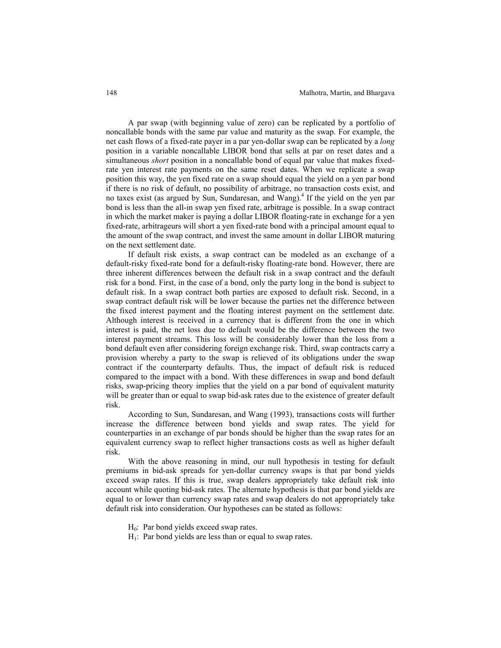A par swap (with beginning value of zero) can be replicated by a portfolio of noncallable bonds with the same par value and maturity as the swap. For example, the net cash flows of a fixed-rate payer in a par yen-dollar swap can be replicated by a *long* position in a variable noncallable LIBOR bond that sells at par on reset dates and a simultaneous *short* position in a noncallable bond of equal par value that makes fixedrate yen interest rate payments on the same reset dates. When we replicate a swap position this way, the yen fixed rate on a swap should equal the yield on a yen par bond if there is no risk of default, no possibility of arbitrage, no transaction costs exist, and no taxes exist (as argued by Sun, Sundaresan, and Wang).<sup>4</sup> If the yield on the yen par bond is less than the all-in swap yen fixed rate, arbitrage is possible. In a swap contract in which the market maker is paying a dollar LIBOR floating-rate in exchange for a yen fixed-rate, arbitrageurs will short a yen fixed-rate bond with a principal amount equal to the amount of the swap contract, and invest the same amount in dollar LIBOR maturing on the next settlement date.

If default risk exists, a swap contract can be modeled as an exchange of a default-risky fixed-rate bond for a default-risky floating-rate bond. However, there are three inherent differences between the default risk in a swap contract and the default risk for a bond. First, in the case of a bond, only the party long in the bond is subject to default risk. In a swap contract both parties are exposed to default risk. Second, in a swap contract default risk will be lower because the parties net the difference between the fixed interest payment and the floating interest payment on the settlement date. Although interest is received in a currency that is different from the one in which interest is paid, the net loss due to default would be the difference between the two interest payment streams. This loss will be considerably lower than the loss from a bond default even after considering foreign exchange risk. Third, swap contracts carry a provision whereby a party to the swap is relieved of its obligations under the swap contract if the counterparty defaults. Thus, the impact of default risk is reduced compared to the impact with a bond. With these differences in swap and bond default risks, swap-pricing theory implies that the yield on a par bond of equivalent maturity will be greater than or equal to swap bid-ask rates due to the existence of greater default risk.

According to Sun, Sundaresan, and Wang (1993), transactions costs will further increase the difference between bond yields and swap rates. The yield for counterparties in an exchange of par bonds should be higher than the swap rates for an equivalent currency swap to reflect higher transactions costs as well as higher default risk.

With the above reasoning in mind, our null hypothesis in testing for default premiums in bid-ask spreads for yen-dollar currency swaps is that par bond yields exceed swap rates. If this is true, swap dealers appropriately take default risk into account while quoting bid-ask rates. The alternate hypothesis is that par bond yields are equal to or lower than currency swap rates and swap dealers do not appropriately take default risk into consideration. Our hypotheses can be stated as follows:

- $H<sub>0</sub>$ : Par bond yields exceed swap rates.
- $H_1$ : Par bond yields are less than or equal to swap rates.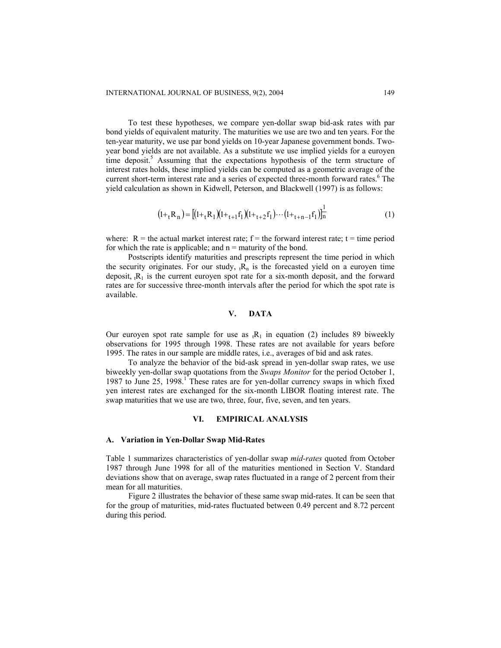To test these hypotheses, we compare yen-dollar swap bid-ask rates with par bond yields of equivalent maturity. The maturities we use are two and ten years. For the ten-year maturity, we use par bond yields on 10-year Japanese government bonds. Twoyear bond yields are not available. As a substitute we use implied yields for a euroyen time deposit.<sup>5</sup> Assuming that the expectations hypothesis of the term structure of interest rates holds, these implied yields can be computed as a geometric average of the current short-term interest rate and a series of expected three-month forward rates.<sup>6</sup> The yield calculation as shown in Kidwell, Peterson, and Blackwell (1997) is as follows:

$$
(l+{}_{t}R_{n}) = [(l+{}_{t}R_{1})(l+{}_{t+1}f_{1})(l+{}_{t+2}f_{1})\cdots(l+{}_{t+n-1}f_{1})]_{n}^{\frac{1}{n}}
$$
(1)

where:  $R =$  the actual market interest rate;  $f =$  the forward interest rate;  $t =$  time period for which the rate is applicable; and  $n =$  maturity of the bond.

Postscripts identify maturities and prescripts represent the time period in which the security originates. For our study,  $R_n$  is the forecasted yield on a euroyen time deposit,  $R_1$  is the current euroyen spot rate for a six-month deposit, and the forward rates are for successive three-month intervals after the period for which the spot rate is available.

## **V. DATA**

Our euroyen spot rate sample for use as  $_1R_1$  in equation (2) includes 89 biweekly observations for 1995 through 1998. These rates are not available for years before 1995. The rates in our sample are middle rates, i.e., averages of bid and ask rates.

To analyze the behavior of the bid-ask spread in yen-dollar swap rates, we use biweekly yen-dollar swap quotations from the *Swaps Monitor* for the period October 1, 1987 to June 25, 1998.<sup>1</sup> These rates are for yen-dollar currency swaps in which fixed yen interest rates are exchanged for the six-month LIBOR floating interest rate. The swap maturities that we use are two, three, four, five, seven, and ten years.

## **VI. EMPIRICAL ANALYSIS**

#### **A. Variation in Yen-Dollar Swap Mid-Rates**

Table 1 summarizes characteristics of yen-dollar swap *mid-rates* quoted from October 1987 through June 1998 for all of the maturities mentioned in Section V. Standard deviations show that on average, swap rates fluctuated in a range of 2 percent from their mean for all maturities.

Figure 2 illustrates the behavior of these same swap mid-rates. It can be seen that for the group of maturities, mid-rates fluctuated between 0.49 percent and 8.72 percent during this period.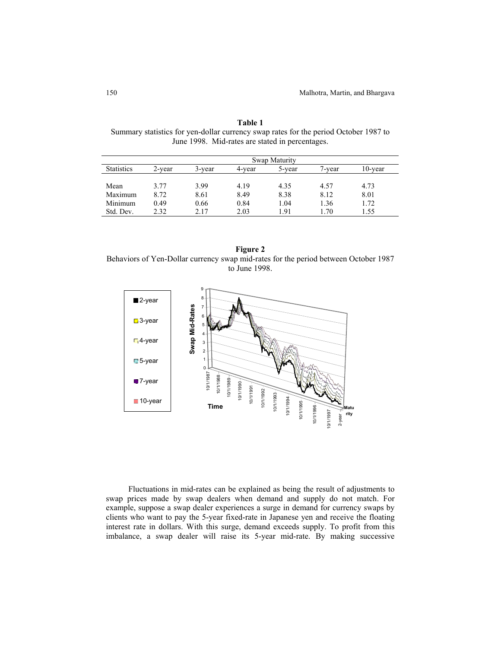|                   | Swap Maturity |        |        |        |        |            |
|-------------------|---------------|--------|--------|--------|--------|------------|
| <b>Statistics</b> | 2-year        | 3-year | 4-vear | 5-year | 7-year | $10$ -vear |
|                   |               |        |        |        |        |            |
| Mean              | 3.77          | 3.99   | 4.19   | 4.35   | 4.57   | 4.73       |
| Maximum           | 8.72          | 8.61   | 8.49   | 8.38   | 8.12   | 8.01       |
| Minimum           | 0.49          | 0.66   | 0.84   | 1.04   | 1.36   | 1.72       |
| Std. Dev.         | 2.32          | 2.17   | 2.03   | 1.91   | 1.70   | 1.55       |

**Table 1** Summary statistics for yen-dollar currency swap rates for the period October 1987 to June 1998. Mid-rates are stated in percentages.

**Figure 2**  Behaviors of Yen-Dollar currency swap mid-rates for the period between October 1987 to June 1998.



Fluctuations in mid-rates can be explained as being the result of adjustments to swap prices made by swap dealers when demand and supply do not match. For example, suppose a swap dealer experiences a surge in demand for currency swaps by clients who want to pay the 5-year fixed-rate in Japanese yen and receive the floating interest rate in dollars. With this surge, demand exceeds supply. To profit from this imbalance, a swap dealer will raise its 5-year mid-rate. By making successive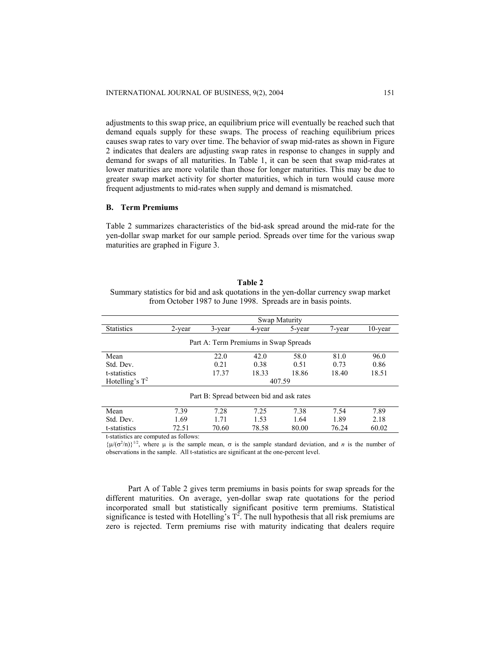adjustments to this swap price, an equilibrium price will eventually be reached such that demand equals supply for these swaps. The process of reaching equilibrium prices causes swap rates to vary over time. The behavior of swap mid-rates as shown in Figure 2 indicates that dealers are adjusting swap rates in response to changes in supply and demand for swaps of all maturities. In Table 1, it can be seen that swap mid-rates at lower maturities are more volatile than those for longer maturities. This may be due to greater swap market activity for shorter maturities, which in turn would cause more frequent adjustments to mid-rates when supply and demand is mismatched.

## **B. Term Premiums**

Table 2 summarizes characteristics of the bid-ask spread around the mid-rate for the yen-dollar swap market for our sample period. Spreads over time for the various swap maturities are graphed in Figure 3.

| Table 2                                                                              |
|--------------------------------------------------------------------------------------|
| Summary statistics for bid and ask quotations in the yen-dollar currency swap market |
| from October 1987 to June 1998. Spreads are in basis points.                         |

|                                          | Swap Maturity |        |                                       |        |        |            |
|------------------------------------------|---------------|--------|---------------------------------------|--------|--------|------------|
| <b>Statistics</b>                        | 2-year        | 3-year | 4-year                                | 5-year | 7-year | $10$ -year |
|                                          |               |        | Part A: Term Premiums in Swap Spreads |        |        |            |
| Mean                                     |               | 22.0   | 42.0                                  | 58.0   | 81.0   | 96.0       |
| Std. Dev.                                |               | 0.21   | 0.38                                  | 0.51   | 0.73   | 0.86       |
| t-statistics                             |               | 17.37  | 18.33                                 | 18.86  | 18.40  | 18.51      |
| Hotelling's $T^2$                        | 407.59        |        |                                       |        |        |            |
| Part B: Spread between bid and ask rates |               |        |                                       |        |        |            |
| Mean                                     | 7.39          | 7.28   | 7.25                                  | 7.38   | 7.54   | 7.89       |
| Std. Dev.                                | 1.69          | 1.71   | 1.53                                  | 1.64   | 1.89   | 2.18       |
| t-statistics                             | 72.51         | 70.60  | 78.58                                 | 80.00  | 76.24  | 60.02      |

t-statistics are computed as follows:

 ${\mu(\sigma^2/n)}^{1/2}$ , where  $\mu$  is the sample mean,  $\sigma$  is the sample standard deviation, and *n* is the number of observations in the sample. All t-statistics are significant at the one-percent level.

Part A of Table 2 gives term premiums in basis points for swap spreads for the different maturities. On average, yen-dollar swap rate quotations for the period incorporated small but statistically significant positive term premiums. Statistical significance is tested with Hotelling's  $T^2$ . The null hypothesis that all risk premiums are zero is rejected. Term premiums rise with maturity indicating that dealers require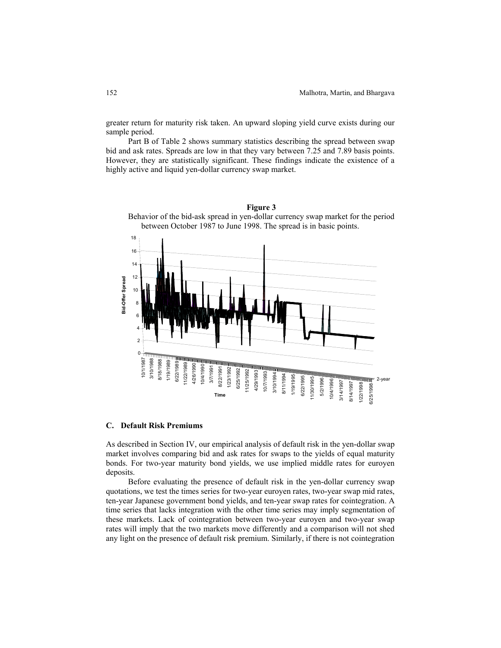greater return for maturity risk taken. An upward sloping yield curve exists during our sample period.

Part B of Table 2 shows summary statistics describing the spread between swap bid and ask rates. Spreads are low in that they vary between 7.25 and 7.89 basis points. However, they are statistically significant. These findings indicate the existence of a highly active and liquid yen-dollar currency swap market.

**Figure 3** 



### **C. Default Risk Premiums**

As described in Section IV, our empirical analysis of default risk in the yen-dollar swap market involves comparing bid and ask rates for swaps to the yields of equal maturity bonds. For two-year maturity bond yields, we use implied middle rates for euroyen deposits.

Before evaluating the presence of default risk in the yen-dollar currency swap quotations, we test the times series for two-year euroyen rates, two-year swap mid rates, ten-year Japanese government bond yields, and ten-year swap rates for cointegration. A time series that lacks integration with the other time series may imply segmentation of these markets. Lack of cointegration between two-year euroyen and two-year swap rates will imply that the two markets move differently and a comparison will not shed any light on the presence of default risk premium. Similarly, if there is not cointegration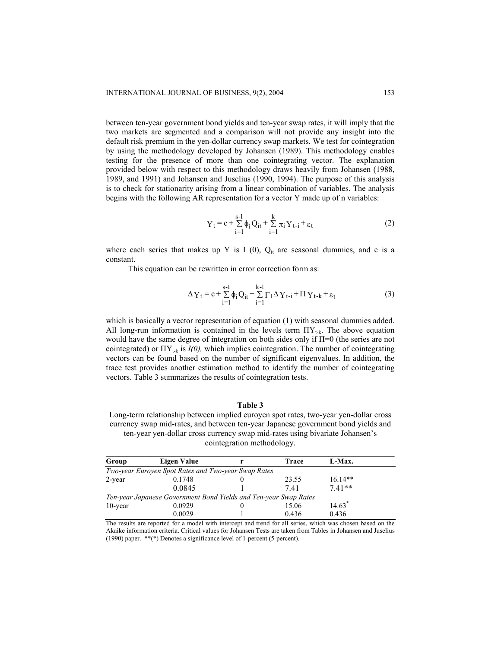between ten-year government bond yields and ten-year swap rates, it will imply that the two markets are segmented and a comparison will not provide any insight into the default risk premium in the yen-dollar currency swap markets. We test for cointegration by using the methodology developed by Johansen (1989). This methodology enables testing for the presence of more than one cointegrating vector. The explanation provided below with respect to this methodology draws heavily from Johansen (1988, 1989, and 1991) and Johansen and Juselius (1990, 1994). The purpose of this analysis is to check for stationarity arising from a linear combination of variables. The analysis begins with the following AR representation for a vector Y made up of n variables:

$$
Y_{t} = c + \sum_{i=1}^{s-1} \phi_{i} Q_{it} + \sum_{i=1}^{k} \pi_{i} Y_{t-i} + \varepsilon_{t}
$$
 (2)

where each series that makes up Y is I  $(0)$ ,  $Q_{it}$  are seasonal dummies, and c is a constant.

This equation can be rewritten in error correction form as:

$$
\Delta Y_t = c + \sum_{i=1}^{s-1} \phi_i Q_{it} + \sum_{i=1}^{k-1} \Gamma_i \Delta Y_{t-i} + \Pi Y_{t-k} + \varepsilon_t
$$
\n(3)

which is basically a vector representation of equation (1) with seasonal dummies added. All long-run information is contained in the levels term  $\Pi Y_{t-k}$ . The above equation would have the same degree of integration on both sides only if Π=0 (the series are not cointegrated) or ΠYt-k is *I(0),* which implies cointegration. The number of cointegrating vectors can be found based on the number of significant eigenvalues. In addition, the trace test provides another estimation method to identify the number of cointegrating vectors. Table 3 summarizes the results of cointegration tests.

# **Table 3**

Long-term relationship between implied euroyen spot rates, two-year yen-dollar cross currency swap mid-rates, and between ten-year Japanese government bond yields and ten-year yen-dollar cross currency swap mid-rates using bivariate Johansen's cointegration methodology.

| Group      | Eigen Value                                                      | Trace | L-Max.               |  |
|------------|------------------------------------------------------------------|-------|----------------------|--|
|            | Two-year Euroyen Spot Rates and Two-year Swap Rates              |       |                      |  |
| $2$ -year  | 0.1748                                                           | 23.55 | $16.14**$            |  |
|            | 0.0845                                                           | 741   | $7.41**$             |  |
|            | Ten-year Japanese Government Bond Yields and Ten-year Swap Rates |       |                      |  |
| $10$ -year | 0.0929                                                           | 15.06 | $14.63$ <sup>*</sup> |  |
|            | 0.0029                                                           | 0.436 | 0.436                |  |

The results are reported for a model with intercept and trend for all series, which was chosen based on the Akaike information criteria. Critical values for Johansen Tests are taken from Tables in Johansen and Juselius (1990) paper. \*\*(\*) Denotes a significance level of 1-percent (5-percent).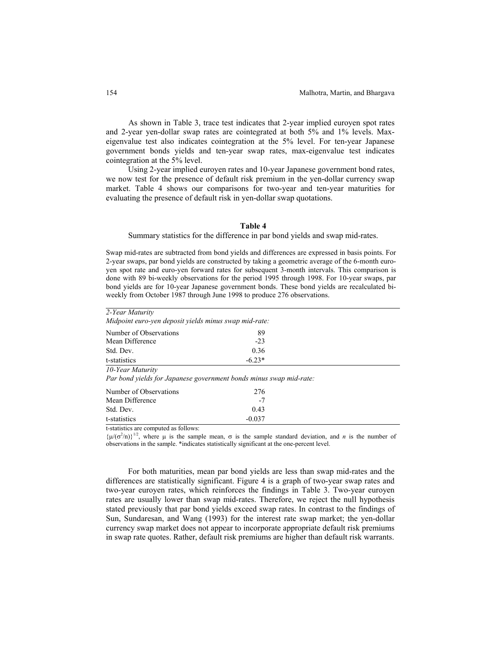As shown in Table 3, trace test indicates that 2-year implied euroyen spot rates and 2-year yen-dollar swap rates are cointegrated at both 5% and 1% levels. Maxeigenvalue test also indicates cointegration at the 5% level. For ten-year Japanese government bonds yields and ten-year swap rates, max-eigenvalue test indicates cointegration at the 5% level.

Using 2-year implied euroyen rates and 10-year Japanese government bond rates, we now test for the presence of default risk premium in the yen-dollar currency swap market. Table 4 shows our comparisons for two-year and ten-year maturities for evaluating the presence of default risk in yen-dollar swap quotations.

## **Table 4**

Summary statistics for the difference in par bond yields and swap mid-rates.

Swap mid-rates are subtracted from bond yields and differences are expressed in basis points. For 2-year swaps, par bond yields are constructed by taking a geometric average of the 6-month euroyen spot rate and euro-yen forward rates for subsequent 3-month intervals. This comparison is done with 89 bi-weekly observations for the period 1995 through 1998. For 10-year swaps, par bond yields are for 10-year Japanese government bonds. These bond yields are recalculated biweekly from October 1987 through June 1998 to produce 276 observations.

| 2-Year Maturity                                                    |          |  |
|--------------------------------------------------------------------|----------|--|
| Midpoint euro-yen deposit yields minus swap mid-rate:              |          |  |
| Number of Observations                                             | 89       |  |
| Mean Difference                                                    | $-23$    |  |
| Std. Dev.                                                          | 0.36     |  |
| t-statistics                                                       | $-6.23*$ |  |
| 10-Year Maturity                                                   |          |  |
| Par bond yields for Japanese government bonds minus swap mid-rate: |          |  |
| Number of Observations                                             | 276      |  |
| Mean Difference                                                    | $-7$     |  |
| Std. Dev.                                                          | 0.43     |  |
| t-statistics                                                       | $-0.037$ |  |

t-statistics are computed as follows:

 ${\mu/(\sigma^2/n)}^{1/2}$ , where  $\mu$  is the sample mean,  $\sigma$  is the sample standard deviation, and *n* is the number of observations in the sample. \*indicates statistically significant at the one-percent level.

For both maturities, mean par bond yields are less than swap mid-rates and the differences are statistically significant. Figure 4 is a graph of two-year swap rates and two-year euroyen rates, which reinforces the findings in Table 3. Two-year euroyen rates are usually lower than swap mid-rates. Therefore, we reject the null hypothesis stated previously that par bond yields exceed swap rates. In contrast to the findings of Sun, Sundaresan, and Wang (1993) for the interest rate swap market; the yen-dollar currency swap market does not appear to incorporate appropriate default risk premiums in swap rate quotes. Rather, default risk premiums are higher than default risk warrants.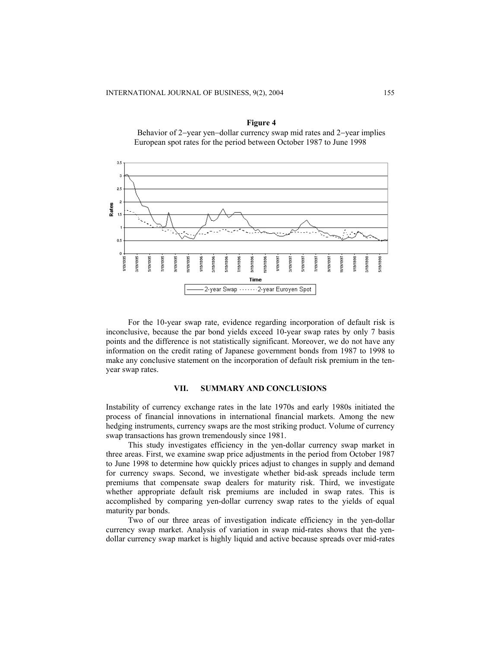Rates  $1.5$ 

 $0.5$ 

71971995 3/19/1995

713/1339 713/133 713/1335 eerleh



**Figure 4** 



Time 2-year Swap -------2-year Euroyen Spot

21321336 9/19/1996

213/139

#### **VII. SUMMARY AND CONCLUSIONS**

Instability of currency exchange rates in the late 1970s and early 1980s initiated the process of financial innovations in international financial markets. Among the new hedging instruments, currency swaps are the most striking product. Volume of currency swap transactions has grown tremendously since 1981.

This study investigates efficiency in the yen-dollar currency swap market in three areas. First, we examine swap price adjustments in the period from October 1987 to June 1998 to determine how quickly prices adjust to changes in supply and demand for currency swaps. Second, we investigate whether bid-ask spreads include term premiums that compensate swap dealers for maturity risk. Third, we investigate whether appropriate default risk premiums are included in swap rates. This is accomplished by comparing yen-dollar currency swap rates to the yields of equal maturity par bonds.

Two of our three areas of investigation indicate efficiency in the yen-dollar currency swap market. Analysis of variation in swap mid-rates shows that the yendollar currency swap market is highly liquid and active because spreads over mid-rates

(19/1998)

/13/1337

119/1998 119/1998

5/19/1997 1/19/1997

713/1337 (19/199)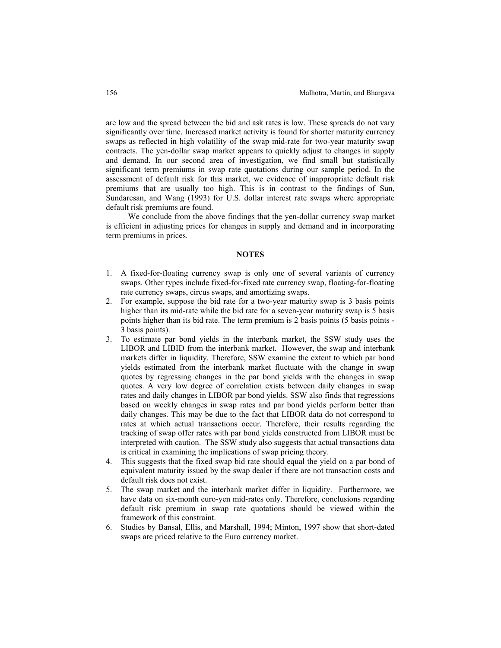are low and the spread between the bid and ask rates is low. These spreads do not vary significantly over time. Increased market activity is found for shorter maturity currency swaps as reflected in high volatility of the swap mid-rate for two-year maturity swap contracts. The yen-dollar swap market appears to quickly adjust to changes in supply and demand. In our second area of investigation, we find small but statistically significant term premiums in swap rate quotations during our sample period. In the assessment of default risk for this market, we evidence of inappropriate default risk premiums that are usually too high. This is in contrast to the findings of Sun, Sundaresan, and Wang (1993) for U.S. dollar interest rate swaps where appropriate default risk premiums are found.

We conclude from the above findings that the yen-dollar currency swap market is efficient in adjusting prices for changes in supply and demand and in incorporating term premiums in prices.

### **NOTES**

- 1. A fixed-for-floating currency swap is only one of several variants of currency swaps. Other types include fixed-for-fixed rate currency swap, floating-for-floating rate currency swaps, circus swaps, and amortizing swaps.
- 2. For example, suppose the bid rate for a two-year maturity swap is 3 basis points higher than its mid-rate while the bid rate for a seven-year maturity swap is 5 basis points higher than its bid rate. The term premium is 2 basis points (5 basis points - 3 basis points).
- 3. To estimate par bond yields in the interbank market, the SSW study uses the LIBOR and LIBID from the interbank market. However, the swap and interbank markets differ in liquidity. Therefore, SSW examine the extent to which par bond yields estimated from the interbank market fluctuate with the change in swap quotes by regressing changes in the par bond yields with the changes in swap quotes. A very low degree of correlation exists between daily changes in swap rates and daily changes in LIBOR par bond yields. SSW also finds that regressions based on weekly changes in swap rates and par bond yields perform better than daily changes. This may be due to the fact that LIBOR data do not correspond to rates at which actual transactions occur. Therefore, their results regarding the tracking of swap offer rates with par bond yields constructed from LIBOR must be interpreted with caution. The SSW study also suggests that actual transactions data is critical in examining the implications of swap pricing theory.
- 4. This suggests that the fixed swap bid rate should equal the yield on a par bond of equivalent maturity issued by the swap dealer if there are not transaction costs and default risk does not exist.
- 5. The swap market and the interbank market differ in liquidity. Furthermore, we have data on six-month euro-yen mid-rates only. Therefore, conclusions regarding default risk premium in swap rate quotations should be viewed within the framework of this constraint.
- 6. Studies by Bansal, Ellis, and Marshall, 1994; Minton, 1997 show that short-dated swaps are priced relative to the Euro currency market.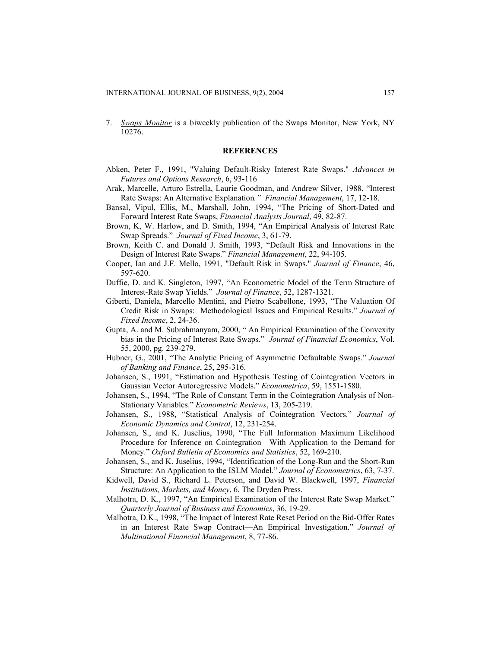7. *Swaps Monitor* is a biweekly publication of the Swaps Monitor, New York, NY 10276.

#### **REFERENCES**

- Abken, Peter F., 1991, "Valuing Default-Risky Interest Rate Swaps." *Advances in Futures and Options Research*, 6, 93-116
- Arak, Marcelle, Arturo Estrella, Laurie Goodman, and Andrew Silver, 1988, "Interest Rate Swaps: An Alternative Explanation*." Financial Management*, 17, 12-18.
- Bansal, Vipul, Ellis, M., Marshall, John, 1994, "The Pricing of Short-Dated and Forward Interest Rate Swaps, *Financial Analysts Journal*, 49, 82-87.
- Brown, K, W. Harlow, and D. Smith, 1994, "An Empirical Analysis of Interest Rate Swap Spreads." *Journal of Fixed Income*, 3, 61-79.
- Brown, Keith C. and Donald J. Smith, 1993, "Default Risk and Innovations in the Design of Interest Rate Swaps." *Financial Management*, 22, 94-105.
- Cooper, Ian and J.F. Mello, 1991, "Default Risk in Swaps." *Journal of Finance*, 46, 597-620.
- Duffie, D. and K. Singleton, 1997, "An Econometric Model of the Term Structure of Interest-Rate Swap Yields." *Journal of Finance*, 52, 1287-1321.
- Giberti, Daniela, Marcello Mentini, and Pietro Scabellone, 1993, "The Valuation Of Credit Risk in Swaps: Methodological Issues and Empirical Results." *Journal of Fixed Income*, 2, 24-36.
- Gupta, A. and M. Subrahmanyam, 2000, " An Empirical Examination of the Convexity bias in the Pricing of Interest Rate Swaps." *Journal of Financial Economics*, Vol. 55, 2000, pg. 239-279.
- Hubner, G., 2001, "The Analytic Pricing of Asymmetric Defaultable Swaps." *Journal of Banking and Finance*, 25, 295-316.
- Johansen, S., 1991, "Estimation and Hypothesis Testing of Cointegration Vectors in Gaussian Vector Autoregressive Models." *Econometrica*, 59, 1551-1580.
- Johansen, S., 1994, "The Role of Constant Term in the Cointegration Analysis of Non-Stationary Variables." *Econometric Reviews*, 13, 205-219.
- Johansen, S., 1988, "Statistical Analysis of Cointegration Vectors." *Journal of Economic Dynamics and Control*, 12, 231-254.
- Johansen, S., and K. Juselius, 1990, "The Full Information Maximum Likelihood Procedure for Inference on Cointegration—With Application to the Demand for Money." *Oxford Bulletin of Economics and Statistics*, 52, 169-210.
- Johansen, S., and K. Juselius, 1994, "Identification of the Long-Run and the Short-Run Structure: An Application to the ISLM Model." *Journal of Econometrics*, 63, 7-37.
- Kidwell, David S., Richard L. Peterson, and David W. Blackwell, 1997, *Financial Institutions, Markets, and Money*, 6, The Dryden Press.
- Malhotra, D. K., 1997, "An Empirical Examination of the Interest Rate Swap Market." *Quarterly Journal of Business and Economics*, 36, 19-29.
- Malhotra, D.K., 1998, "The Impact of Interest Rate Reset Period on the Bid-Offer Rates in an Interest Rate Swap Contract—An Empirical Investigation." *Journal of Multinational Financial Management*, 8, 77-86.